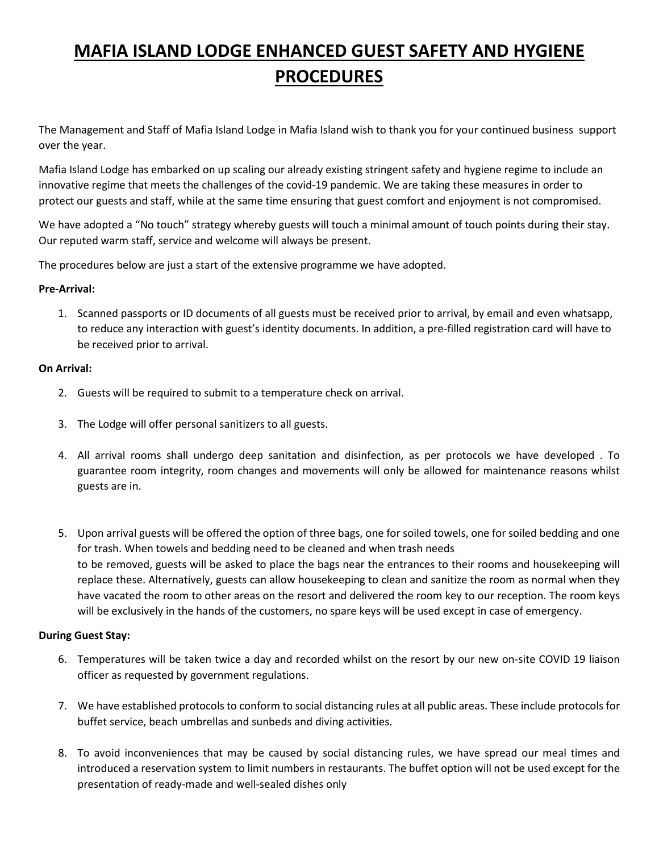# **MAFIA ISLAND LODGE ENHANCED GUEST SAFETY AND HYGIENE PROCEDURES**

The Management and Staff of Mafia Island Lodge in Mafia Island wish to thank you for your continued business support over the year.

Mafia Island Lodge has embarked on up scaling our already existing stringent safety and hygiene regime to include an innovative regime that meets the challenges of the covid-19 pandemic. We are taking these measures in order to protect our guests and staff, while at the same time ensuring that guest comfort and enjoyment is not compromised.

We have adopted a "No touch" strategy whereby guests will touch a minimal amount of touch points during their stay. Our reputed warm staff, service and welcome will always be present.

The procedures below are just a start of the extensive programme we have adopted.

## **Pre-Arrival:**

1. Scanned passports or ID documents of all guests must be received prior to arrival, by email and even whatsapp, to reduce any interaction with guest's identity documents. In addition, a pre-filled registration card will have to be received prior to arrival.

## **On Arrival:**

- 2. Guests will be required to submit to a temperature check on arrival.
- 3. The Lodge will offer personal sanitizers to all guests.
- 4. All arrival rooms shall undergo deep sanitation and disinfection, as per protocols we have developed . To guarantee room integrity, room changes and movements will only be allowed for maintenance reasons whilst guests are in.
- 5. Upon arrival guests will be offered the option of three bags, one for soiled towels, one for soiled bedding and one for trash. When towels and bedding need to be cleaned and when trash needs to be removed, guests will be asked to place the bags near the entrances to their rooms and housekeeping will replace these. Alternatively, guests can allow housekeeping to clean and sanitize the room as normal when they have vacated the room to other areas on the resort and delivered the room key to our reception. The room keys will be exclusively in the hands of the customers, no spare keys will be used except in case of emergency.

## **During Guest Stay:**

- 6. Temperatures will be taken twice a day and recorded whilst on the resort by our new on-site COVID 19 liaison officer as requested by government regulations.
- 7. We have established protocols to conform to social distancing rules at all public areas. These include protocols for buffet service, beach umbrellas and sunbeds and diving activities.
- 8. To avoid inconveniences that may be caused by social distancing rules, we have spread our meal times and introduced a reservation system to limit numbers in restaurants. The buffet option will not be used except for the presentation of ready-made and well-sealed dishes only